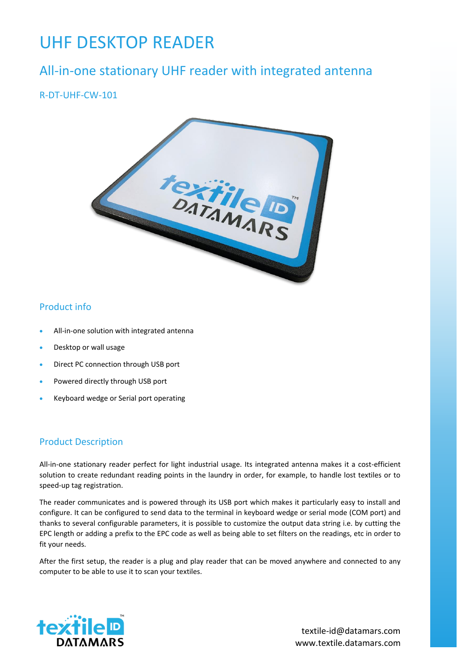# UHF DESKTOP READER

# All-in-one stationary UHF reader with integrated antenna

# R-DT-UHF-CW-101



### Product info

- All-in-one solution with integrated antenna
- Desktop or wall usage
- Direct PC connection through USB port
- Powered directly through USB port
- Keyboard wedge or Serial port operating

#### Product Description

All-in-one stationary reader perfect for light industrial usage. Its integrated antenna makes it a cost-efficient solution to create redundant reading points in the laundry in order, for example, to handle lost textiles or to speed-up tag registration.

The reader communicates and is powered through its USB port which makes it particularly easy to install and configure. It can be configured to send data to the terminal in keyboard wedge or serial mode (COM port) and thanks to several configurable parameters, it is possible to customize the output data string i.e. by cutting the EPC length or adding a prefix to the EPC code as well as being able to set filters on the readings, etc in order to fit your needs.

After the first setup, the reader is a plug and play reader that can be moved anywhere and connected to any computer to be able to use it to scan your textiles.



www.textile.datamars.com textile-id@datamars.com